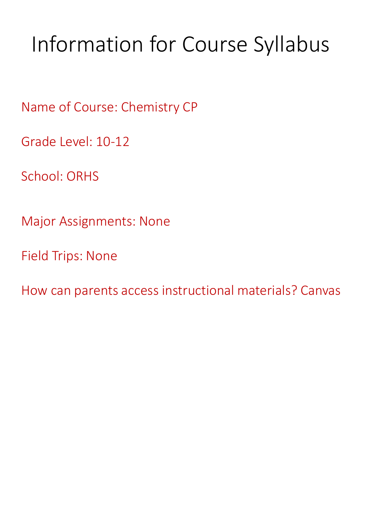# Information for Course Syllabus

Name of Course: Chemistry CP

Grade Level: 10-12

School: ORHS

Major Assignments: None

Field Trips: None

How can parents access instructional materials? Canvas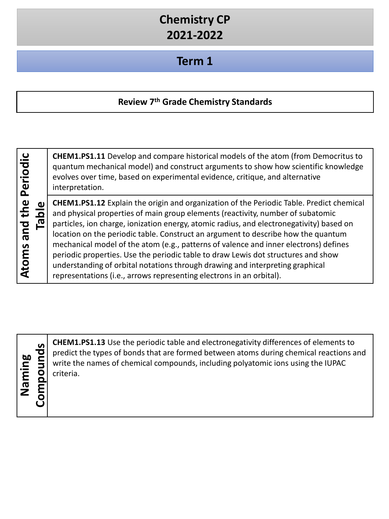#### **Term 1**

#### **Review 7th Grade Chemistry Standards**

| Periodic<br>the<br>pue | Tabl |
|------------------------|------|
| <b>Atoms</b>           |      |

**CHEM1.PS1.11** Develop and compare historical models of the atom (from Democritus to quantum mechanical model) and construct arguments to show how scientific knowledge evolves over time, based on experimental evidence, critique, and alternative interpretation.

**CHEM1.PS1.12** Explain the origin and organization of the Periodic Table. Predict chemical and physical properties of main group elements (reactivity, number of subatomic particles, ion charge, ionization energy, atomic radius, and electronegativity) based on location on the periodic table. Construct an argument to describe how the quantum mechanical model of the atom (e.g., patterns of valence and inner electrons) defines periodic properties. Use the periodic table to draw Lewis dot structures and show understanding of orbital notations through drawing and interpreting graphical representations (i.e., arrows representing electrons in an orbital).

**Naming** 

**CHEM1.PS1.13** Use the periodic table and electronegativity differences of elements to<br>predict the types of bonds that are formed between atoms during chemical reactions a<br>write the names of chemical compounds, including p predict the types of bonds that are formed between atoms during chemical reactions and write the names of chemical compounds, including polyatomic ions using the IUPAC criteria.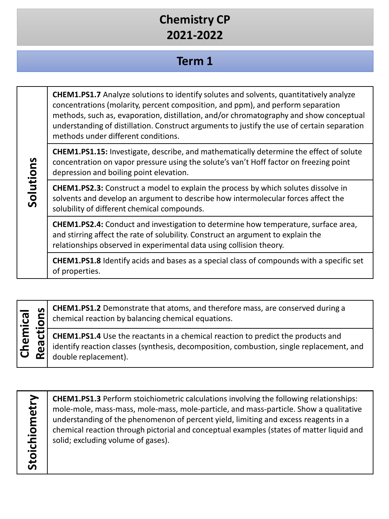### **Term 1**

**CHEM1.PS1.7** Analyze solutions to identify solutes and solvents, quantitatively analyze concentrations (molarity, percent composition, and ppm), and perform separation methods, such as, evaporation, distillation, and/or chromatography and show conceptual understanding of distillation. Construct arguments to justify the use of certain separation methods under different conditions.

**CHEM1.PS1.15:** Investigate, describe, and mathematically determine the effect of solute concentration on vapor pressure using the solute's van't Hoff factor on freezing point depression and boiling point elevation.

**CHEM1.PS2.3:** Construct a model to explain the process by which solutes dissolve in solvents and develop an argument to describe how intermolecular forces affect the solubility of different chemical compounds.

**CHEM1.PS2.4:** Conduct and investigation to determine how temperature, surface area, and stirring affect the rate of solubility. Construct an argument to explain the relationships observed in experimental data using collision theory.

**CHEM1.PS1.8** Identify acids and bases as a special class of compounds with a specific set of properties.

**Reference CHEM1.PS1.2** Demonstrate that atoms, and therefore mass, are conserved during a<br>chemical reaction by balancing chemical equations.<br>**CHEM1.PS1.4** Use the reactants in a chemical reaction to predict the products a **Chemical**  Chemical chemical reaction by balancing chemical equations. **CHEM1.PS1.4** Use the reactants in a chemical reaction to predict the products and identify reaction classes (synthesis, decomposition, combustion, single replacement, and double replacement).

Stoichiometry **Stoichiometry**

**CHEM1.PS1.3** Perform stoichiometric calculations involving the following relationships: mole-mole, mass-mass, mole-mass, mole-particle, and mass-particle. Show a qualitative understanding of the phenomenon of percent yield, limiting and excess reagents in a chemical reaction through pictorial and conceptual examples (states of matter liquid and solid; excluding volume of gases).

Solutions **Solutions**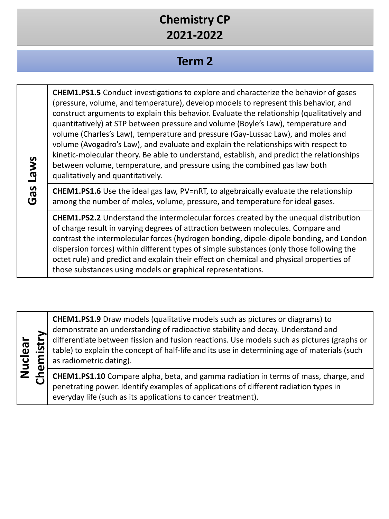### **Term 2**

| <b>SMP1</b>    | <b>CHEM1.PS1.5</b> Conduct investigations to explore and characterize the behavior of gases<br>(pressure, volume, and temperature), develop models to represent this behavior, and<br>construct arguments to explain this behavior. Evaluate the relationship (qualitatively and<br>quantitatively) at STP between pressure and volume (Boyle's Law), temperature and<br>volume (Charles's Law), temperature and pressure (Gay-Lussac Law), and moles and<br>volume (Avogadro's Law), and evaluate and explain the relationships with respect to<br>kinetic-molecular theory. Be able to understand, establish, and predict the relationships<br>between volume, temperature, and pressure using the combined gas law both<br>qualitatively and quantitatively. |
|----------------|-----------------------------------------------------------------------------------------------------------------------------------------------------------------------------------------------------------------------------------------------------------------------------------------------------------------------------------------------------------------------------------------------------------------------------------------------------------------------------------------------------------------------------------------------------------------------------------------------------------------------------------------------------------------------------------------------------------------------------------------------------------------|
| <b>as</b><br>ပ | <b>CHEM1.PS1.6</b> Use the ideal gas law, PV=nRT, to algebraically evaluate the relationship<br>among the number of moles, volume, pressure, and temperature for ideal gases.                                                                                                                                                                                                                                                                                                                                                                                                                                                                                                                                                                                   |
|                | CHEM1.PS2.2 Understand the intermolecular forces created by the unequal distribution<br>of charge result in varying degrees of attraction between molecules. Compare and<br>contrast the intermolecular forces (hydrogen bonding, dipole-dipole bonding, and London<br>dispersion forces) within different types of simple substances (only those following the<br>octet rule) and predict and explain their effect on chemical and physical properties of<br>those substances using models or graphical representations.                                                                                                                                                                                                                                       |

**Nuclear Chemistry** **CHEM1.PS1.9** Draw models (qualitative models such as pictures or diagrams) to demonstrate an understanding of radioactive stability and decay. Understand and differentiate between fission and fusion reactions. Use models such as pictures (graphs or table) to explain the concept of half-life and its use in determining age of materials (such as radiometric dating).

**CHEM1.PS1.10** Compare alpha, beta, and gamma radiation in terms of mass, charge, and penetrating power. Identify examples of applications of different radiation types in everyday life (such as its applications to cancer treatment).